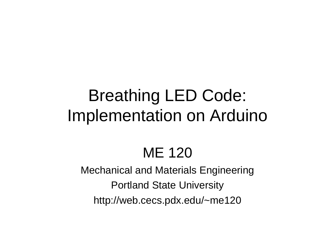# Breathing LED Code: Implementation on Arduino

## ME 120

Mechanical and Materials Engineering Portland State University http://web.cecs.pdx.edu/~me120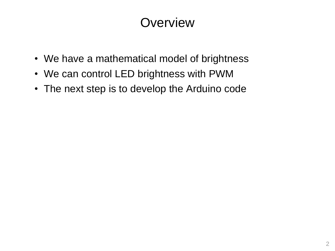## **Overview**

- We have a mathematical model of brightness
- We can control LED brightness with PWM
- The next step is to develop the Arduino code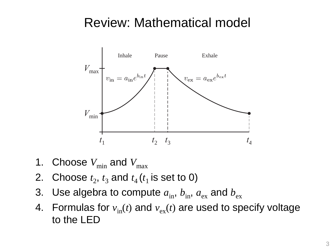#### Review: Mathematical model



- 1. Choose  $V_{\text{min}}$  and  $V_{\text{max}}$
- 2. Choose  $t_2$ ,  $t_3$  and  $t_4$  ( $t_1$  is set to 0)
- 3. Use algebra to compute  $a_{\rm in}$ ,  $b_{\rm in}$ ,  $a_{\rm ex}$  and  $b_{\rm ex}$
- 4. Formulas for  $v_{in}(t)$  and  $v_{ex}(t)$  are used to specify voltage to the LED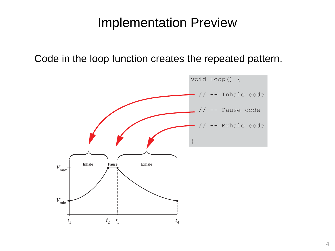#### Implementation Preview

Code in the loop function creates the repeated pattern.

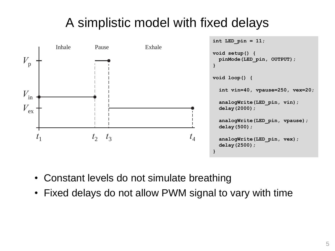## A simplistic model with fixed delays



- Constant levels do not simulate breathing
- Fixed delays do not allow PWM signal to vary with time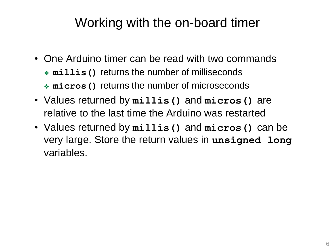#### Working with the on-board timer

- One Arduino timer can be read with two commands ❖ **millis()** returns the number of milliseconds ❖ **micros()** returns the number of microseconds
- Values returned by **millis()** and **micros()** are relative to the last time the Arduino was restarted
- Values returned by **millis()** and **micros()** can be very large. Store the return values in **unsigned long** variables.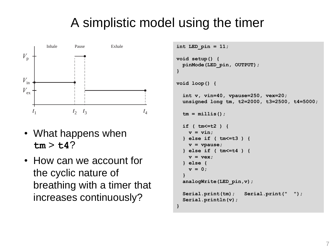### A simplistic model using the timer



- What happens when  $tm > t4$ ?
- How can we account for the cyclic nature of breathing with a timer that increases continuously?

```
void setup() {
 pinMode(LED_pin, OUTPUT);
}
```

```
void loop() {
```

```
int v, vin=40, vpause=250, vex=20;
unsigned long tm, t2=2000, t3=2500, t4=5000;
```

```
tm = millis();
```

```
if ( tm<=t2 ) {
    v = vin;
 } else if ( tm<=t3 ) {
    v = vpause;
 } else if ( tm<=t4 ) {
    v = vex;
  } else {
    v = 0;
  }
 analogWrite(LED_pin,v);
 Serial.print(tm); Serial.print(" ");
 Serial.println(v);
}
```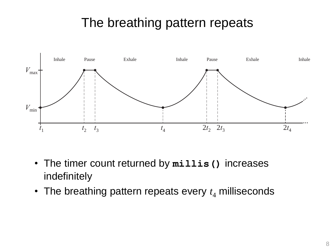### The breathing pattern repeats



- The timer count returned by **millis()** increases indefinitely
- The breathing pattern repeats every  $t_4$  milliseconds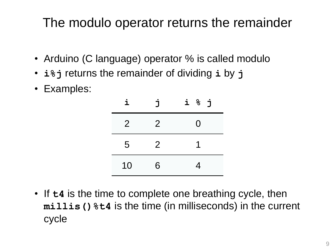#### The modulo operator returns the remainder

- Arduino (C language) operator % is called modulo
- **i%j** returns the remainder of dividing **i** by **j**
- Examples:

| i              | Ė              | i % j |
|----------------|----------------|-------|
| $\overline{2}$ | $\overline{2}$ | 0     |
| 5              | $\overline{2}$ |       |
| 10             | 6              | 4     |

• If **t4** is the time to complete one breathing cycle, then **millis()%t4** is the time (in milliseconds) in the current cycle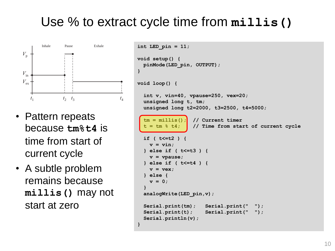#### Use % to extract cycle time from **millis()**

**}**

**}**



- Pattern repeats because **tm%t4** is time from start of current cycle
- A subtle problem remains because **millis()** may not start at zero

```
int LED_pin = 11;
void setup() {
  pinMode(LED_pin, OUTPUT);
void loop() {
  int v, vin=40, vpause=250, vex=20;
  unsigned long t, tm;
  unsigned long t2=2000, t3=2500, t4=5000;
  tm = millis(); // Current timer
   t = \tan \frac{1}{2} t4; \int // Time from start of current cycle
  if ( t<=t2 ) {
    v = vin;
  } else if ( t<=t3 ) {
    v = vpause;
  } else if ( t<=t4 ) {
    v = vex;
  } else {
    v = 0;
  }
  analogWrite(LED_pin,v);
  Serial.print(tm); Serial.print(" ");
  Serial.print(t); Serial.print(" ");
  Serial.println(v);
```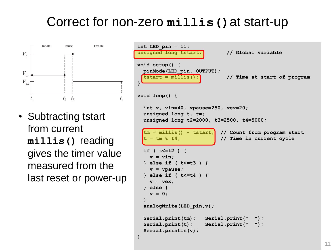#### Correct for non-zero **millis()**at start-up



• Subtracting tstart from current **millis()** reading gives the timer value measured from the last reset or power-up

```
int LED_pin = 11;
unsigned long tstart; // Global variable
void setup() {
 pinMode(LED_pin, OUTPUT);
 tstart = millis(); // Time at start of program
}
void loop() {
 int v, vin=40, vpause=250, vex=20;
 unsigned long t, tm;
 unsigned long t2=2000, t3=2500, t4=5000;
  tm = millis() - tstart; // Count from program start
  t = tm % t4; // Time in current cycle
 if ( t<=t2 ) {
   v = vin;
 } else if ( t<=t3 ) {
   v = vpause;
 } else if ( t<=t4 ) {
   v = vex;
  } else {
   v = 0;
  }
 analogWrite(LED_pin,v);
 Serial.print(tm); Serial.print(" ");
 Serial.print(t); Serial.print(" ");
 Serial.println(v);
}
```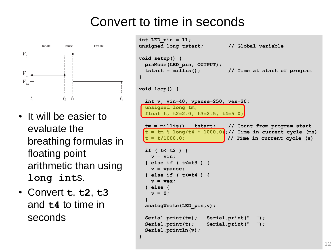#### Convert to time in seconds



- It will be easier to evaluate the breathing formulas in floating point arithmetic than using **long int**s.
- Convert **t**, **t2**, **t3** and **t4** to time in seconds

```
int LED_pin = 11;
unsigned long tstart; // Global variable
void setup() {
 pinMode(LED_pin, OUTPUT);
  tstart = millis(); // Time at start of program
}
void loop() {
  int v, vin=40, vpause=250, vex=20;
  unsigned long tm;
  float t, t2=2.0, t3=2.5, t4=5.0;
  tm = millis() - tstart; // Count from program start
 t = \text{tm } 8 long(t4 * 1000.0);// Time in current cycle (ms)
  t = t/1000.0; // Time in current cycle (s)
  if ( t<=t2 ) {
    v = \text{vin}:} else if ( t<=t3 ) {
   v = vpause;
  } else if ( t<=t4 ) {
    v = vex;
  } else {
   v = 0;
  }
  analogWrite(LED_pin,v);
  Serial.print(tm); Serial.print(" ");
  Serial.print(t); Serial.print(" ");
  Serial.println(v);
}
```